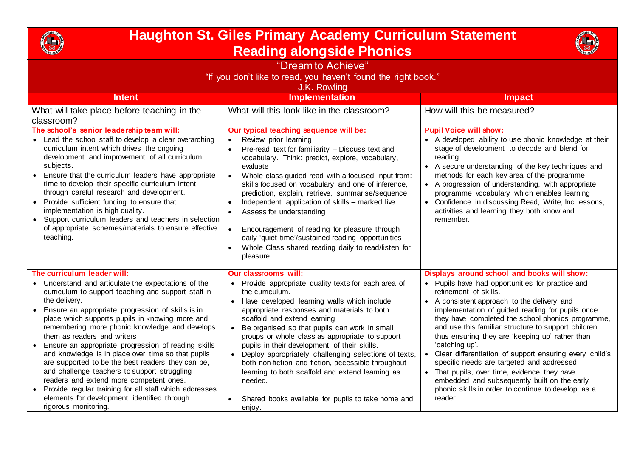

## **Haughton St. Giles Primary Academy Curriculum Statement Reading alongside Phonics**



| "Dream to Achieve"<br>"If you don't like to read, you haven't found the right book."<br>J.K. Rowling                                                                                                                                                                                                                                                                                                                                                                                                                                                                                                |                                                                                                                                                                                                                                                                                                                                                                                                                                                                                                                                                                                                                                                        |                                                                                                                                                                                                                                                                                                                                                                                                                                                                                 |
|-----------------------------------------------------------------------------------------------------------------------------------------------------------------------------------------------------------------------------------------------------------------------------------------------------------------------------------------------------------------------------------------------------------------------------------------------------------------------------------------------------------------------------------------------------------------------------------------------------|--------------------------------------------------------------------------------------------------------------------------------------------------------------------------------------------------------------------------------------------------------------------------------------------------------------------------------------------------------------------------------------------------------------------------------------------------------------------------------------------------------------------------------------------------------------------------------------------------------------------------------------------------------|---------------------------------------------------------------------------------------------------------------------------------------------------------------------------------------------------------------------------------------------------------------------------------------------------------------------------------------------------------------------------------------------------------------------------------------------------------------------------------|
| <b>Intent</b>                                                                                                                                                                                                                                                                                                                                                                                                                                                                                                                                                                                       | <b>Implementation</b>                                                                                                                                                                                                                                                                                                                                                                                                                                                                                                                                                                                                                                  | <b>Impact</b>                                                                                                                                                                                                                                                                                                                                                                                                                                                                   |
| What will take place before teaching in the<br>classroom?                                                                                                                                                                                                                                                                                                                                                                                                                                                                                                                                           | What will this look like in the classroom?                                                                                                                                                                                                                                                                                                                                                                                                                                                                                                                                                                                                             | How will this be measured?                                                                                                                                                                                                                                                                                                                                                                                                                                                      |
| The school's senior leadership team will:<br>• Lead the school staff to develop a clear overarching<br>curriculum intent which drives the ongoing<br>development and improvement of all curriculum<br>subjects.<br>Ensure that the curriculum leaders have appropriate<br>time to develop their specific curriculum intent<br>through careful research and development.<br>Provide sufficient funding to ensure that<br>$\bullet$<br>implementation is high quality.<br>• Support curriculum leaders and teachers in selection<br>of appropriate schemes/materials to ensure effective<br>teaching. | Our typical teaching sequence will be:<br>Review prior learning<br>$\bullet$<br>Pre-read text for familiarity - Discuss text and<br>$\bullet$<br>vocabulary. Think: predict, explore, vocabulary,<br>evaluate<br>Whole class guided read with a focused input from:<br>skills focused on vocabulary and one of inference,<br>prediction, explain, retrieve, summarise/sequence<br>Independent application of skills - marked live<br>Assess for understanding<br>Encouragement of reading for pleasure through<br>$\bullet$<br>daily 'quiet time'/sustained reading opportunities.<br>Whole Class shared reading daily to read/listen for<br>pleasure. | <b>Pupil Voice will show:</b><br>• A developed ability to use phonic knowledge at their<br>stage of development to decode and blend for<br>reading.<br>• A secure understanding of the key techniques and<br>methods for each key area of the programme<br>• A progression of understanding, with appropriate<br>programme vocabulary which enables learning<br>• Confidence in discussing Read, Write, Inc lessons,<br>activities and learning they both know and<br>remember. |
| The curriculum leader will:<br>• Understand and articulate the expectations of the<br>curriculum to support teaching and support staff in                                                                                                                                                                                                                                                                                                                                                                                                                                                           | <b>Our classrooms will:</b><br>Provide appropriate quality texts for each area of<br>$\bullet$<br>the curriculum.                                                                                                                                                                                                                                                                                                                                                                                                                                                                                                                                      | Displays around school and books will show:<br>• Pupils have had opportunities for practice and<br>refinement of skills.                                                                                                                                                                                                                                                                                                                                                        |
| the delivery.<br>Ensure an appropriate progression of skills is in<br>$\bullet$<br>place which supports pupils in knowing more and<br>remembering more phonic knowledge and develops<br>them as readers and writers                                                                                                                                                                                                                                                                                                                                                                                 | • Have developed learning walls which include<br>appropriate responses and materials to both<br>scaffold and extend learning<br>Be organised so that pupils can work in small<br>$\bullet$<br>groups or whole class as appropriate to support                                                                                                                                                                                                                                                                                                                                                                                                          | • A consistent approach to the delivery and<br>implementation of guided reading for pupils once<br>they have completed the school phonics programme,<br>and use this familiar structure to support children<br>thus ensuring they are 'keeping up' rather than                                                                                                                                                                                                                  |
| Ensure an appropriate progression of reading skills<br>and knowledge is in place over time so that pupils<br>are supported to be the best readers they can be,<br>and challenge teachers to support struggling<br>readers and extend more competent ones.<br>• Provide regular training for all staff which addresses<br>elements for development identified through<br>rigorous monitoring.                                                                                                                                                                                                        | pupils in their development of their skills.<br>• Deploy appropriately challenging selections of texts,<br>both non-fiction and fiction, accessible throughout<br>learning to both scaffold and extend learning as<br>needed.<br>Shared books available for pupils to take home and<br>enjoy.                                                                                                                                                                                                                                                                                                                                                          | 'catching up'.<br>Clear differentiation of support ensuring every child's<br>specific needs are targeted and addressed<br>• That pupils, over time, evidence they have<br>embedded and subsequently built on the early<br>phonic skills in order to continue to develop as a<br>reader.                                                                                                                                                                                         |